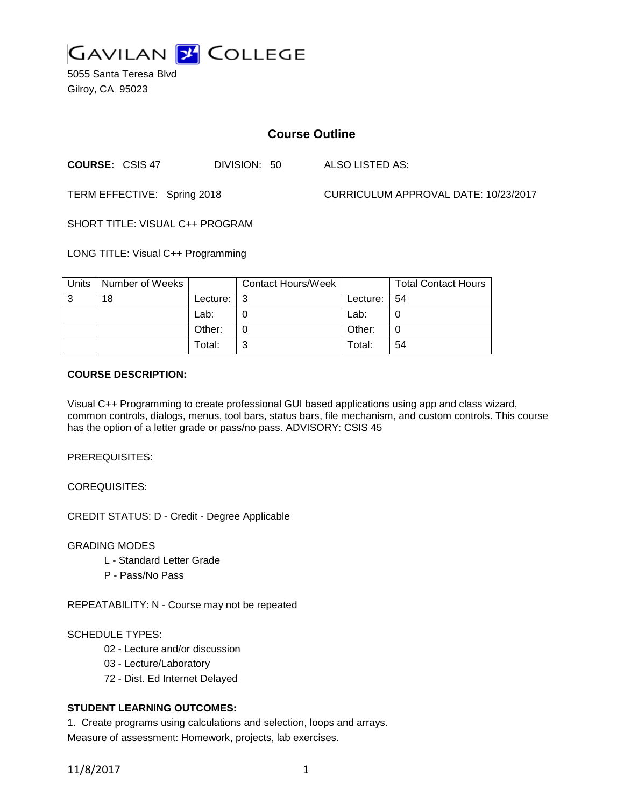

5055 Santa Teresa Blvd Gilroy, CA 95023

# **Course Outline**

**COURSE:** CSIS 47 DIVISION: 50 ALSO LISTED AS:

TERM EFFECTIVE: Spring 2018 CURRICULUM APPROVAL DATE: 10/23/2017

SHORT TITLE: VISUAL C++ PROGRAM

LONG TITLE: Visual C++ Programming

| Units | Number of Weeks |          | <b>Contact Hours/Week</b> |                 | <b>Total Contact Hours</b> |
|-------|-----------------|----------|---------------------------|-----------------|----------------------------|
| ູ     | 18              | Lecture: |                           | Lecture: $  54$ |                            |
|       |                 | Lab:     |                           | Lab:            |                            |
|       |                 | Other:   |                           | Other:          |                            |
|       |                 | Total:   | ົ<br>ىب                   | Total:          | 54                         |

## **COURSE DESCRIPTION:**

Visual C++ Programming to create professional GUI based applications using app and class wizard, common controls, dialogs, menus, tool bars, status bars, file mechanism, and custom controls. This course has the option of a letter grade or pass/no pass. ADVISORY: CSIS 45

PREREQUISITES:

COREQUISITES:

CREDIT STATUS: D - Credit - Degree Applicable

### GRADING MODES

- L Standard Letter Grade
- P Pass/No Pass

REPEATABILITY: N - Course may not be repeated

### SCHEDULE TYPES:

- 02 Lecture and/or discussion
- 03 Lecture/Laboratory
- 72 Dist. Ed Internet Delayed

## **STUDENT LEARNING OUTCOMES:**

1. Create programs using calculations and selection, loops and arrays. Measure of assessment: Homework, projects, lab exercises.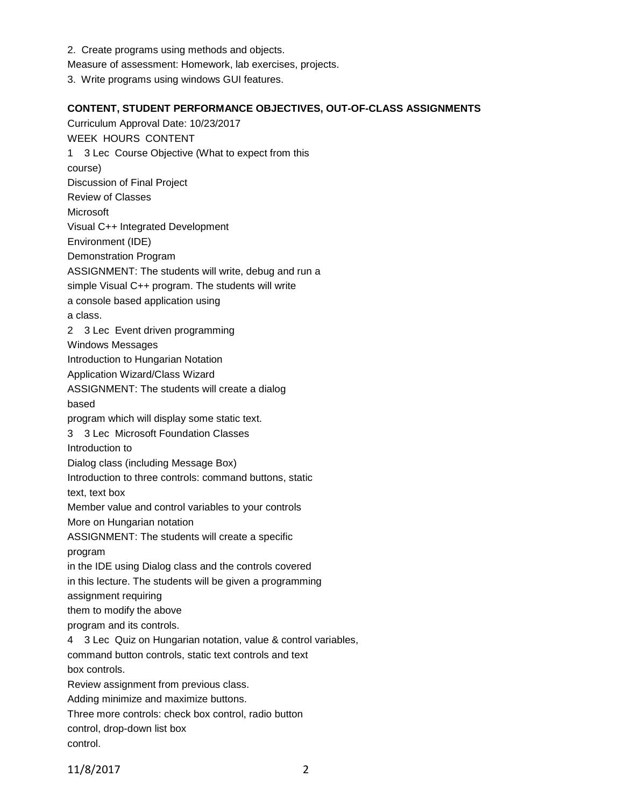- 2. Create programs using methods and objects.
- Measure of assessment: Homework, lab exercises, projects.
- 3. Write programs using windows GUI features.

## **CONTENT, STUDENT PERFORMANCE OBJECTIVES, OUT-OF-CLASS ASSIGNMENTS**

Curriculum Approval Date: 10/23/2017 WEEK HOURS CONTENT 1 3 Lec Course Objective (What to expect from this course) Discussion of Final Project Review of Classes Microsoft Visual C++ Integrated Development Environment (IDE) Demonstration Program ASSIGNMENT: The students will write, debug and run a simple Visual C++ program. The students will write a console based application using a class. 2 3 Lec Event driven programming Windows Messages Introduction to Hungarian Notation Application Wizard/Class Wizard ASSIGNMENT: The students will create a dialog based program which will display some static text. 3 3 Lec Microsoft Foundation Classes Introduction to Dialog class (including Message Box) Introduction to three controls: command buttons, static text, text box Member value and control variables to your controls More on Hungarian notation ASSIGNMENT: The students will create a specific program in the IDE using Dialog class and the controls covered in this lecture. The students will be given a programming assignment requiring them to modify the above program and its controls. 4 3 Lec Quiz on Hungarian notation, value & control variables, command button controls, static text controls and text box controls. Review assignment from previous class. Adding minimize and maximize buttons. Three more controls: check box control, radio button control, drop-down list box control.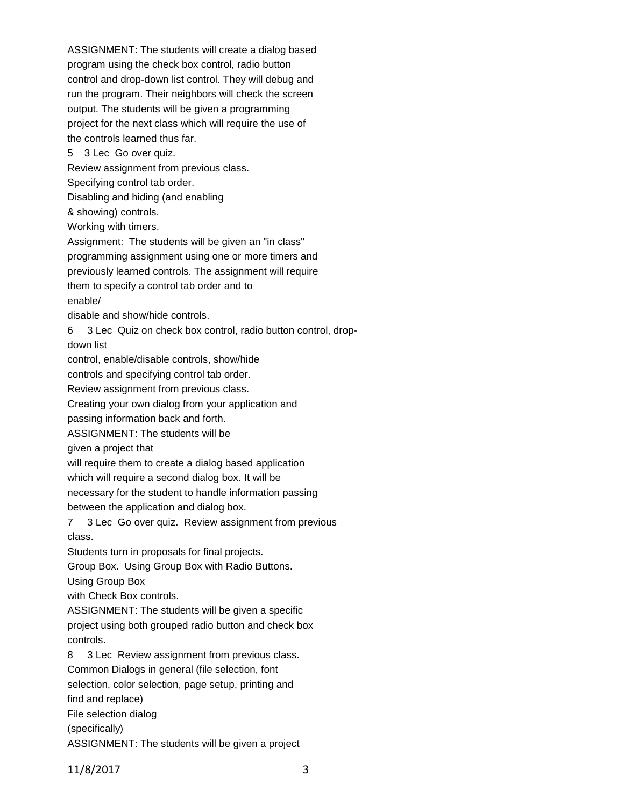ASSIGNMENT: The students will create a dialog based program using the check box control, radio button control and drop-down list control. They will debug and run the program. Their neighbors will check the screen output. The students will be given a programming project for the next class which will require the use of the controls learned thus far. 5 3 Lec Go over quiz. Review assignment from previous class. Specifying control tab order. Disabling and hiding (and enabling & showing) controls. Working with timers. Assignment: The students will be given an "in class" programming assignment using one or more timers and previously learned controls. The assignment will require them to specify a control tab order and to enable/ disable and show/hide controls. 6 3 Lec Quiz on check box control, radio button control, dropdown list control, enable/disable controls, show/hide controls and specifying control tab order. Review assignment from previous class. Creating your own dialog from your application and passing information back and forth. ASSIGNMENT: The students will be given a project that will require them to create a dialog based application which will require a second dialog box. It will be necessary for the student to handle information passing between the application and dialog box. 7 3 Lec Go over quiz. Review assignment from previous class. Students turn in proposals for final projects. Group Box. Using Group Box with Radio Buttons. Using Group Box with Check Box controls. ASSIGNMENT: The students will be given a specific project using both grouped radio button and check box controls. 8 3 Lec Review assignment from previous class. Common Dialogs in general (file selection, font selection, color selection, page setup, printing and find and replace) File selection dialog (specifically) ASSIGNMENT: The students will be given a project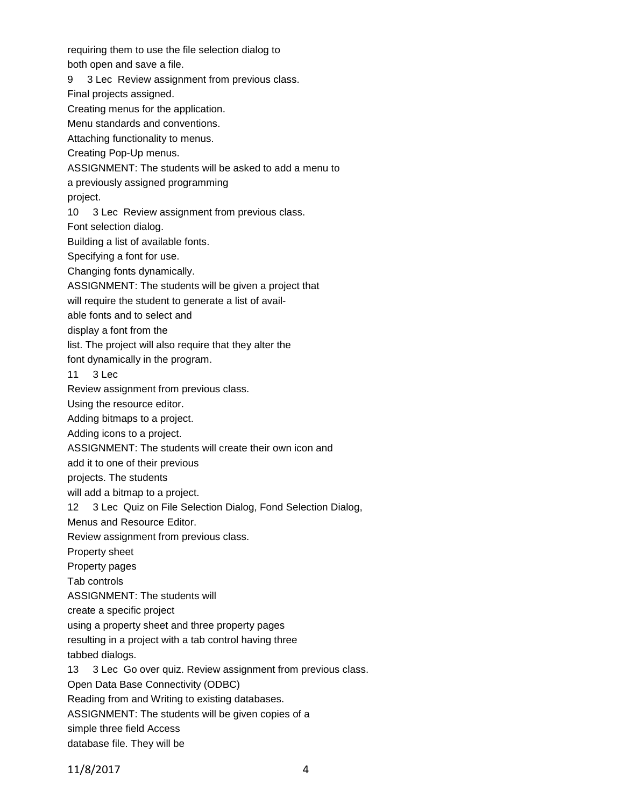requiring them to use the file selection dialog to both open and save a file. 9 3 Lec Review assignment from previous class. Final projects assigned. Creating menus for the application. Menu standards and conventions. Attaching functionality to menus. Creating Pop-Up menus. ASSIGNMENT: The students will be asked to add a menu to a previously assigned programming project. 10 3 Lec Review assignment from previous class. Font selection dialog. Building a list of available fonts. Specifying a font for use. Changing fonts dynamically. ASSIGNMENT: The students will be given a project that will require the student to generate a list of available fonts and to select and display a font from the list. The project will also require that they alter the font dynamically in the program. 11 3 Lec Review assignment from previous class. Using the resource editor. Adding bitmaps to a project. Adding icons to a project.

ASSIGNMENT: The students will create their own icon and

add it to one of their previous

projects. The students

will add a bitmap to a project.

12 3 Lec Quiz on File Selection Dialog, Fond Selection Dialog,

Menus and Resource Editor.

Review assignment from previous class.

Property sheet

Property pages

Tab controls

ASSIGNMENT: The students will

create a specific project

using a property sheet and three property pages

resulting in a project with a tab control having three

tabbed dialogs.

13 3 Lec Go over quiz. Review assignment from previous class.

Open Data Base Connectivity (ODBC)

Reading from and Writing to existing databases.

ASSIGNMENT: The students will be given copies of a

simple three field Access

database file. They will be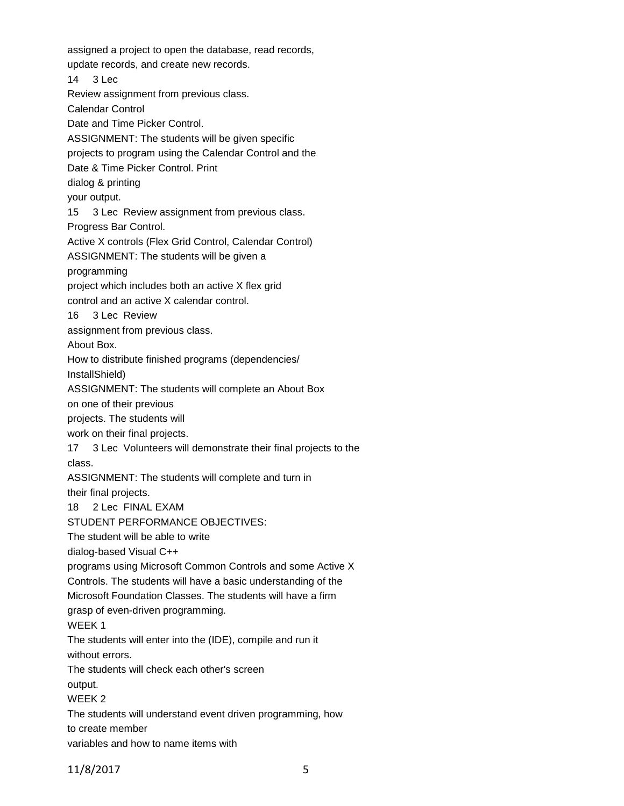assigned a project to open the database, read records, update records, and create new records. 14 3 Lec Review assignment from previous class. Calendar Control Date and Time Picker Control. ASSIGNMENT: The students will be given specific projects to program using the Calendar Control and the Date & Time Picker Control. Print dialog & printing your output. 15 3 Lec Review assignment from previous class. Progress Bar Control. Active X controls (Flex Grid Control, Calendar Control) ASSIGNMENT: The students will be given a programming project which includes both an active X flex grid control and an active X calendar control. 16 3 Lec Review assignment from previous class. About Box. How to distribute finished programs (dependencies/ InstallShield) ASSIGNMENT: The students will complete an About Box on one of their previous projects. The students will work on their final projects. 17 3 Lec Volunteers will demonstrate their final projects to the class. ASSIGNMENT: The students will complete and turn in their final projects. 18 2 Lec FINAL EXAM STUDENT PERFORMANCE OBJECTIVES: The student will be able to write dialog-based Visual C++ programs using Microsoft Common Controls and some Active X Controls. The students will have a basic understanding of the Microsoft Foundation Classes. The students will have a firm grasp of even-driven programming. WEEK 1 The students will enter into the (IDE), compile and run it without errors. The students will check each other's screen output. WEEK 2 The students will understand event driven programming, how to create member variables and how to name items with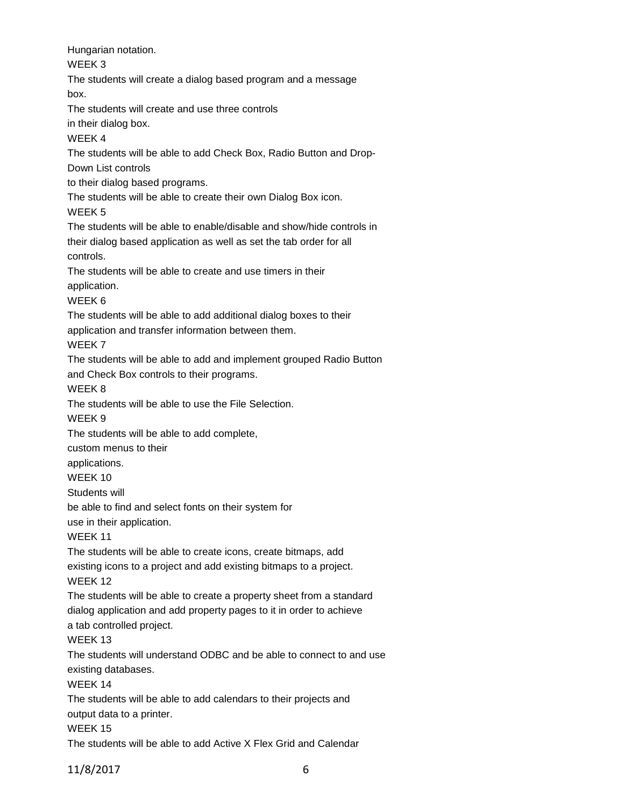Hungarian notation. WEEK 3 The students will create a dialog based program and a message box. The students will create and use three controls in their dialog box. WEEK 4 The students will be able to add Check Box, Radio Button and Drop-Down List controls to their dialog based programs. The students will be able to create their own Dialog Box icon. WEEK 5 The students will be able to enable/disable and show/hide controls in their dialog based application as well as set the tab order for all controls. The students will be able to create and use timers in their application. WEEK 6 The students will be able to add additional dialog boxes to their application and transfer information between them. WEEK 7 The students will be able to add and implement grouped Radio Button and Check Box controls to their programs. WEEK 8 The students will be able to use the File Selection. WEEK 9 The students will be able to add complete, custom menus to their applications. WEEK 10 Students will be able to find and select fonts on their system for use in their application. WEEK 11 The students will be able to create icons, create bitmaps, add existing icons to a project and add existing bitmaps to a project. WEEK 12 The students will be able to create a property sheet from a standard dialog application and add property pages to it in order to achieve a tab controlled project. WEEK 13 The students will understand ODBC and be able to connect to and use existing databases. WEEK 14 The students will be able to add calendars to their projects and output data to a printer. WEEK 15 The students will be able to add Active X Flex Grid and Calendar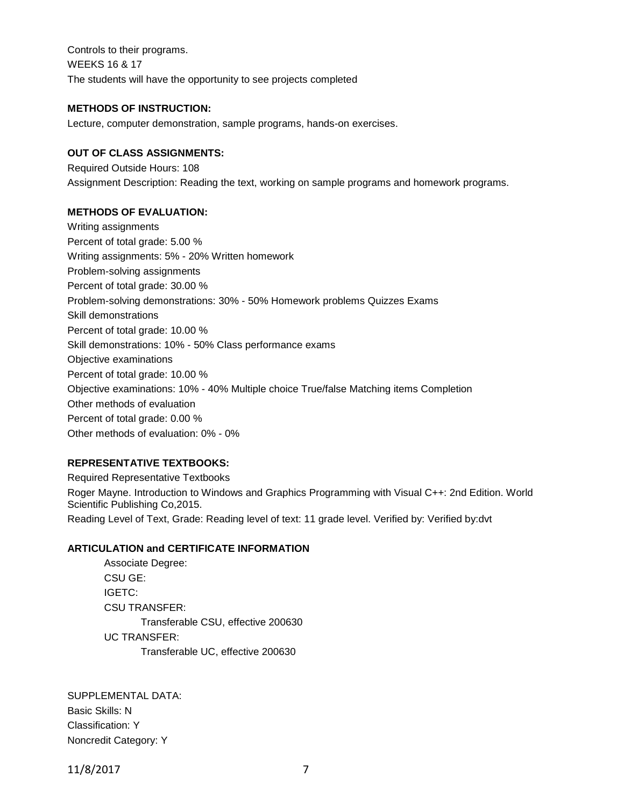Controls to their programs. WEEKS 16 & 17 The students will have the opportunity to see projects completed

## **METHODS OF INSTRUCTION:**

Lecture, computer demonstration, sample programs, hands-on exercises.

## **OUT OF CLASS ASSIGNMENTS:**

Required Outside Hours: 108 Assignment Description: Reading the text, working on sample programs and homework programs.

## **METHODS OF EVALUATION:**

Writing assignments Percent of total grade: 5.00 % Writing assignments: 5% - 20% Written homework Problem-solving assignments Percent of total grade: 30.00 % Problem-solving demonstrations: 30% - 50% Homework problems Quizzes Exams Skill demonstrations Percent of total grade: 10.00 % Skill demonstrations: 10% - 50% Class performance exams Objective examinations Percent of total grade: 10.00 % Objective examinations: 10% - 40% Multiple choice True/false Matching items Completion Other methods of evaluation Percent of total grade: 0.00 % Other methods of evaluation: 0% - 0%

## **REPRESENTATIVE TEXTBOOKS:**

Required Representative Textbooks Roger Mayne. Introduction to Windows and Graphics Programming with Visual C++: 2nd Edition. World Scientific Publishing Co,2015. Reading Level of Text, Grade: Reading level of text: 11 grade level. Verified by: Verified by:dvt

### **ARTICULATION and CERTIFICATE INFORMATION**

Associate Degree: CSU GE: IGETC: CSU TRANSFER: Transferable CSU, effective 200630 UC TRANSFER: Transferable UC, effective 200630

SUPPLEMENTAL DATA: Basic Skills: N Classification: Y Noncredit Category: Y